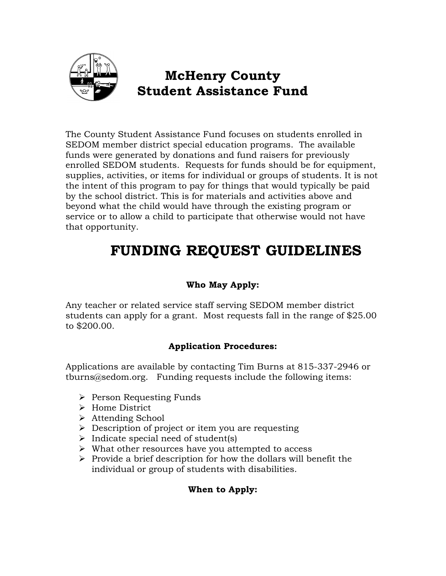

## **McHenry County Student Assistance Fund**

The County Student Assistance Fund focuses on students enrolled in SEDOM member district special education programs. The available funds were generated by donations and fund raisers for previously enrolled SEDOM students. Requests for funds should be for equipment, supplies, activities, or items for individual or groups of students. It is not the intent of this program to pay for things that would typically be paid by the school district. This is for materials and activities above and beyond what the child would have through the existing program or service or to allow a child to participate that otherwise would not have that opportunity.

# **FUNDING REQUEST GUIDELINES**

### **Who May Apply:**

Any teacher or related service staff serving SEDOM member district students can apply for a grant. Most requests fall in the range of \$25.00 to \$200.00.

#### **Application Procedures:**

Applications are available by contacting Tim Burns at 815-337-2946 or tburns@sedom.org. Funding requests include the following items:

- $\triangleright$  Person Requesting Funds
- Home District
- Attending School
- $\triangleright$  Description of project or item you are requesting
- $\triangleright$  Indicate special need of student(s)
- $\triangleright$  What other resources have you attempted to access
- $\triangleright$  Provide a brief description for how the dollars will benefit the individual or group of students with disabilities.

#### **When to Apply:**